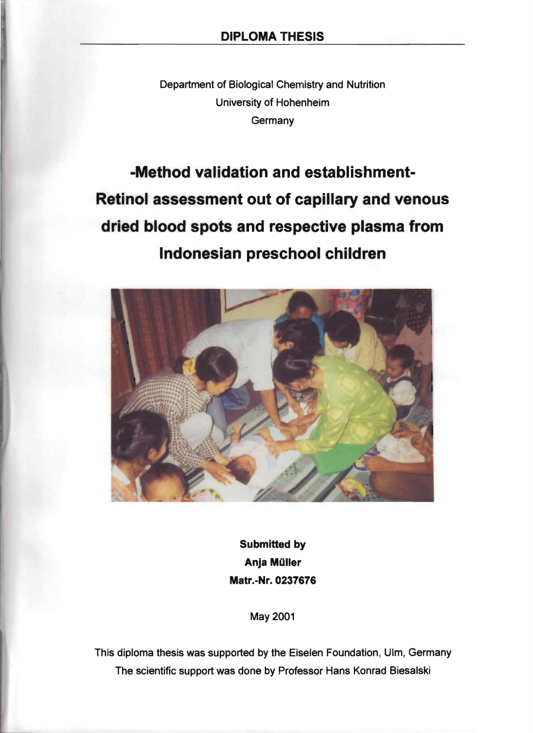Department of Biological Chemistry and Nutrition University of Hohenheim **Germany** 

-Method validation and establishment-Retinol assessment out of capillary and venous dried blood spots and respective plasma from Indonesian preschool children



Submitted by Anja Müller Matr.-Nr.0237676

May 2001

This diploma thesis was supported by the Eiselen Foundation, Ulm, Germany The scientific support was done by Professor Hans Konrad Biesalski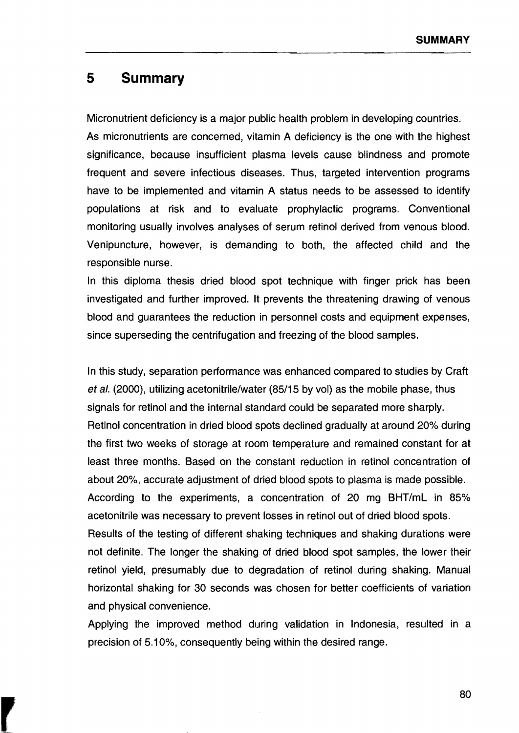## **5 Summary**

Micronutrient deficiency is a major public health problem in developing countries. As micronutrients are concerned, vitamin A deficiency is the one with the highest significance, because insufficient plasma levels cause blindness and promote frequent and severe infectious diseases. Thus, targeted intervention programs have to be implemented and vitamin A status needs to be assessed to identify populations at risk and to evaluate prophylactic programs. Conventional monitoring usually involves analyses of serum retinol derived from venous blood. Venipuncture, however, is demanding to both, the affected child and the responsible nurse.

In this diploma thesis dried blood spot technique with finger prick has been investigated and further improved. It prevents the threatening drawing of venous blood and guarantees the reduction in personnel costs and equipment expenses, since superseding the centrifugation and freezing of the blood sampies.

In this study, separation performance was enhanced compared to studies by Craft et al. (2000), utilizing acetonitrile/water (85/15 by vol) as the mobile phase, thus signals for retinol and the internal standard could be separated more sharply. Retinol concentration in dried blood spots declined gradually at around 20% during the first two weeks of storage at room temperature and remained constant for at least three months. Based on the constant reduction in retinol concentration of about 20%, accurate adjustment of dried blood spots to plasma is made possible. According to the experiments, a concentration of 20 mg BHT/mL in 85% acetonitrile was necessary to prevent losses in retinol out of dried blood spots. Results of the testing of different shaking techniques and shaking durations were not definite. The longer the shaking of dried blood spot sampies, the lower their retinol yield, presumably due to degradation of retinol during shaking. Manual horizontal shaking for 30 seconds was chosen for better coefficients of variation and physical convenience.

Applying the improved method during validation in Indonesia, resulted in a precision of 5.10%, consequently being within the desired range.

80